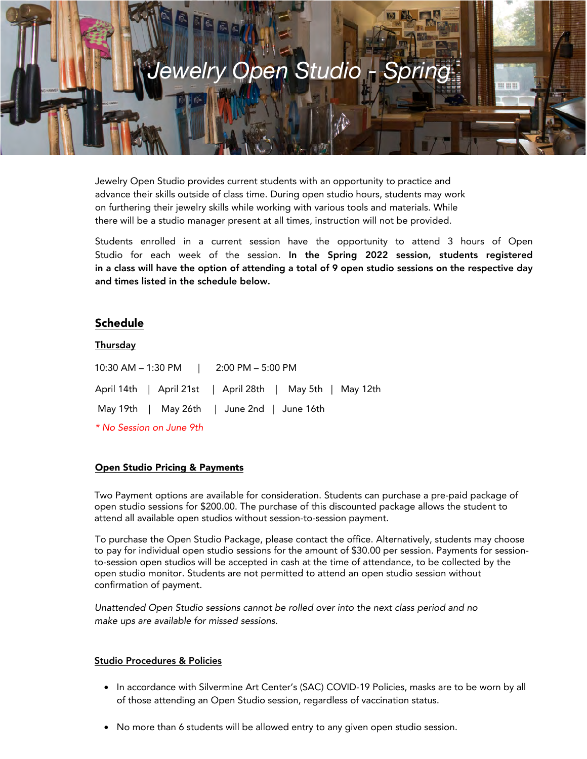

Jewelry Open Studio provides current students with an opportunity to practice and advance their skills outside of class time. During open studio hours, students may work on furthering their jewelry skills while working with various tools and materials. While there will be a studio manager present at all times, instruction will not be provided.

Students enrolled in a current session have the opportunity to attend 3 hours of Open Studio for each week of the session. In the Spring 2022 session, students registered in a class will have the option of attending a total of 9 open studio sessions on the respective day and times listed in the schedule below.

# Schedule

#### **Thursday**

10:30 AM – 1:30 PM | 2:00 PM – 5:00 PM April 14th | April 21st | April 28th | May 5th | May 12th May 19th | May 26th | June 2nd | June 16th \* No Session on June 9th

#### Open Studio Pricing & Payments

Two Payment options are available for consideration. Students can purchase a pre-paid package of open studio sessions for \$200.00. The purchase of this discounted package allows the student to attend all available open studios without session-to-session payment.

To purchase the Open Studio Package, please contact the office. Alternatively, students may choose to pay for individual open studio sessions for the amount of \$30.00 per session. Payments for sessionto-session open studios will be accepted in cash at the time of attendance, to be collected by the open studio monitor. Students are not permitted to attend an open studio session without confirmation of payment.

*Unattended Open Studio sessions cannot be rolled over into the next class period and no make ups are available for missed sessions.* 

#### Studio Procedures & Policies

- In accordance with Silvermine Art Center's (SAC) COVID-19 Policies, masks are to be worn by all of those attending an Open Studio session, regardless of vaccination status.
- No more than 6 students will be allowed entry to any given open studio session.